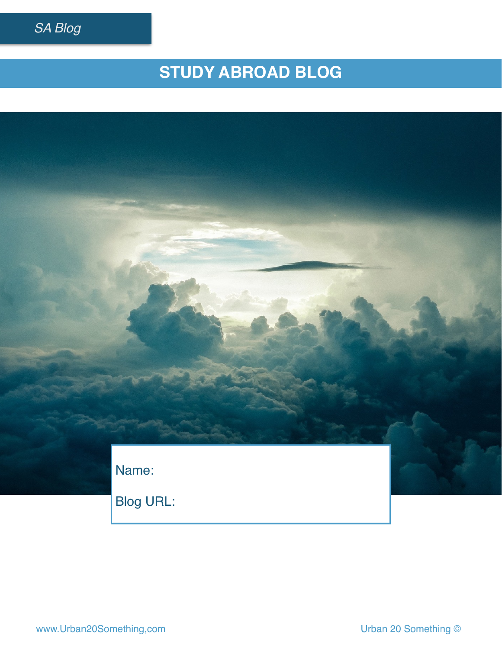

# **STUDY ABROAD BLOG**

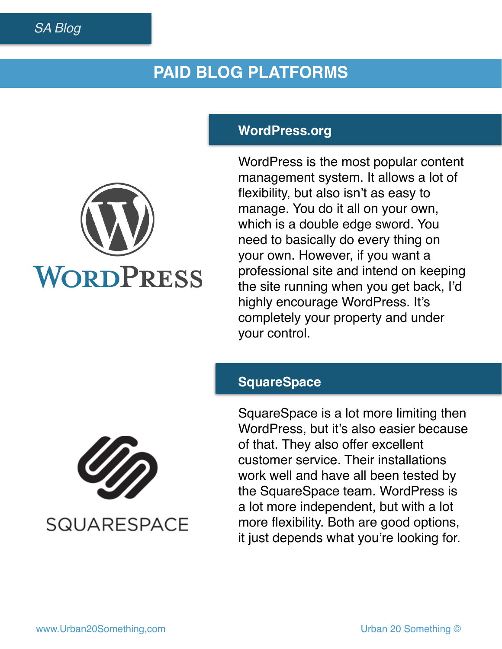### **PAID BLOG PLATFORMS**

#### **WordPress.org**

WordPress is the most popular content management system. It allows a lot of flexibility, but also isn't as easy to manage. You do it all on your own, which is a double edge sword. You need to basically do every thing on your own. However, if you want a professional site and intend on keeping the site running when you get back, I'd highly encourage WordPress. It's completely your property and under your control.

#### **SquareSpace**

SquareSpace is a lot more limiting then WordPress, but it's also easier because of that. They also offer excellent customer service. Their installations work well and have all been tested by the SquareSpace team. WordPress is a lot more independent, but with a lot more flexibility. Both are good options, it just depends what you're looking for.



**SQUARESPACE** 

WORDPRESS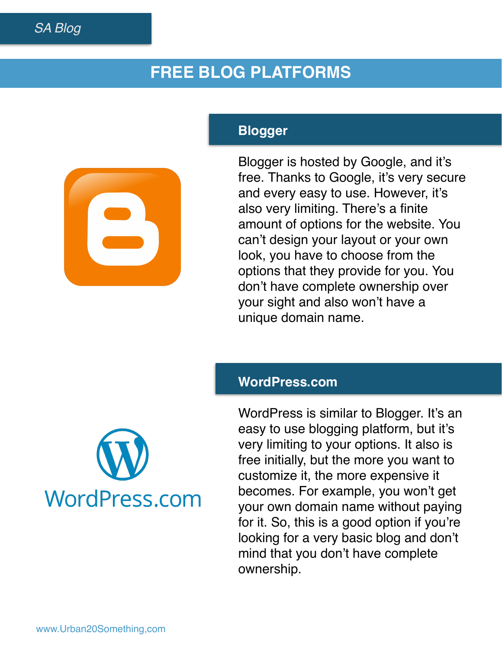## **FREE BLOG PLATFORMS**

### **Blogger**

Blogger is hosted by Google, and it's free. Thanks to Google, it's very secure and every easy to use. However, it's also very limiting. There's a finite amount of options for the website. You can't design your layout or your own look, you have to choose from the options that they provide for you. You don't have complete ownership over your sight and also won't have a unique domain name.

#### **WordPress.com**



WordPress is similar to Blogger. It's an easy to use blogging platform, but it's very limiting to your options. It also is free initially, but the more you want to customize it, the more expensive it becomes. For example, you won't get your own domain name without paying for it. So, this is a good option if you're looking for a very basic blog and don't mind that you don't have complete ownership.